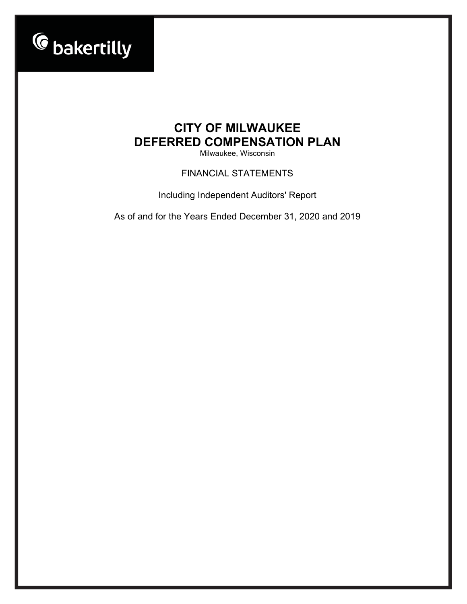

Milwaukee, Wisconsin

FINANCIAL STATEMENTS

Including Independent Auditors' Report

As of and for the Years Ended December 31, 2020 and 2019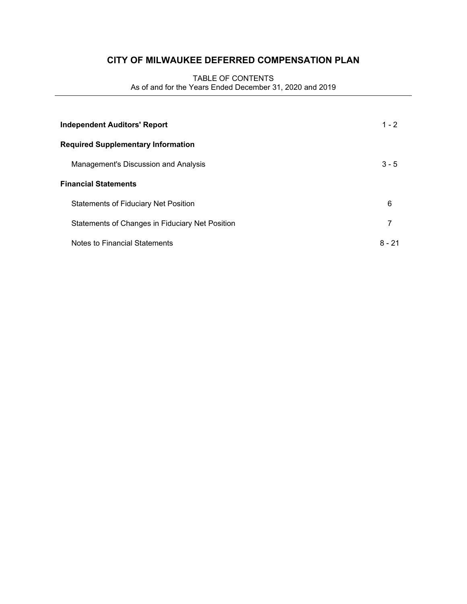# TABLE OF CONTENTS As of and for the Years Ended December 31, 2020 and 2019

| <b>Independent Auditors' Report</b>             | $1 - 2$  |
|-------------------------------------------------|----------|
| <b>Required Supplementary Information</b>       |          |
| Management's Discussion and Analysis            | $3 - 5$  |
| <b>Financial Statements</b>                     |          |
| <b>Statements of Fiduciary Net Position</b>     | 6        |
| Statements of Changes in Fiduciary Net Position | 7        |
| Notes to Financial Statements                   | $8 - 21$ |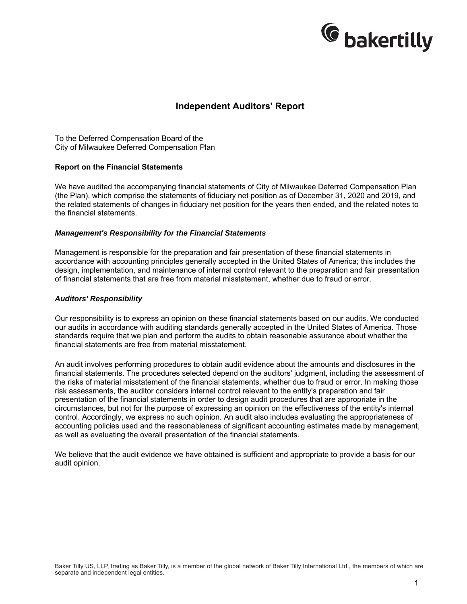

# **Independent Auditors' Report**

To the Deferred Compensation Board of the City of Milwaukee Deferred Compensation Plan

#### **Report on the Financial Statements**

We have audited the accompanying financial statements of City of Milwaukee Deferred Compensation Plan (the Plan), which comprise the statements of fiduciary net position as of December 31, 2020 and 2019, and the related statements of changes in fiduciary net position for the years then ended, and the related notes to the financial statements.

#### *Management's Responsibility for the Financial Statements*

Management is responsible for the preparation and fair presentation of these financial statements in accordance with accounting principles generally accepted in the United States of America; this includes the design, implementation, and maintenance of internal control relevant to the preparation and fair presentation of financial statements that are free from material misstatement, whether due to fraud or error.

#### *Auditors' Responsibility*

Our responsibility is to express an opinion on these financial statements based on our audits. We conducted our audits in accordance with auditing standards generally accepted in the United States of America. Those standards require that we plan and perform the audits to obtain reasonable assurance about whether the financial statements are free from material misstatement.

An audit involves performing procedures to obtain audit evidence about the amounts and disclosures in the financial statements. The procedures selected depend on the auditors' judgment, including the assessment of the risks of material misstatement of the financial statements, whether due to fraud or error. In making those risk assessments, the auditor considers internal control relevant to the entity's preparation and fair presentation of the financial statements in order to design audit procedures that are appropriate in the circumstances, but not for the purpose of expressing an opinion on the effectiveness of the entity's internal control. Accordingly, we express no such opinion. An audit also includes evaluating the appropriateness of accounting policies used and the reasonableness of significant accounting estimates made by management, as well as evaluating the overall presentation of the financial statements.

We believe that the audit evidence we have obtained is sufficient and appropriate to provide a basis for our audit opinion.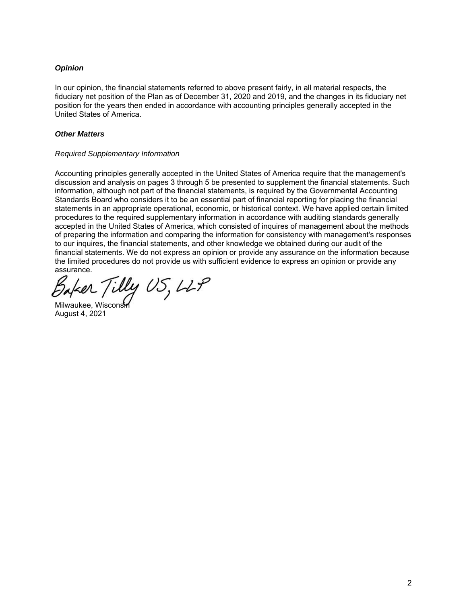# *Opinion*

In our opinion, the financial statements referred to above present fairly, in all material respects, the fiduciary net position of the Plan as of December 31, 2020 and 2019, and the changes in its fiduciary net position for the years then ended in accordance with accounting principles generally accepted in the United States of America.

# *Other Matters*

### *Required Supplementary Information*

Accounting principles generally accepted in the United States of America require that the management's discussion and analysis on pages 3 through 5 be presented to supplement the financial statements. Such information, although not part of the financial statements, is required by the Governmental Accounting Standards Board who considers it to be an essential part of financial reporting for placing the financial statements in an appropriate operational, economic, or historical context. We have applied certain limited procedures to the required supplementary information in accordance with auditing standards generally accepted in the United States of America, which consisted of inquires of management about the methods of preparing the information and comparing the information for consistency with management's responses to our inquires, the financial statements, and other knowledge we obtained during our audit of the financial statements. We do not express an opinion or provide any assurance on the information because the limited procedures do not provide us with sufficient evidence to express an opinion or provide any assurance.

Soker Tilly US, LLP

Milwaukee, Wiscons August 4, 2021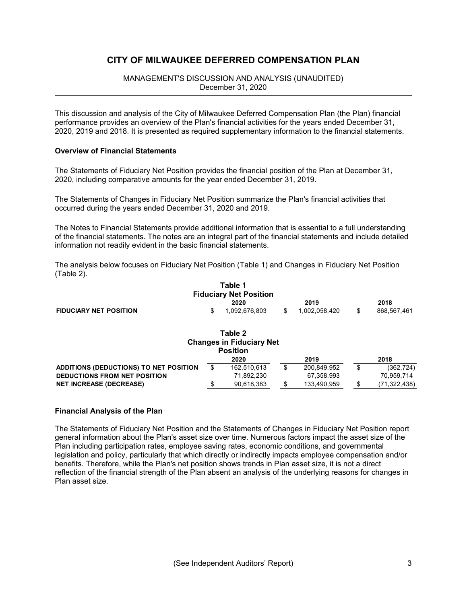# MANAGEMENT'S DISCUSSION AND ANALYSIS (UNAUDITED) December 31, 2020

This discussion and analysis of the City of Milwaukee Deferred Compensation Plan (the Plan) financial performance provides an overview of the Plan's financial activities for the years ended December 31, 2020, 2019 and 2018. It is presented as required supplementary information to the financial statements.

### **Overview of Financial Statements**

The Statements of Fiduciary Net Position provides the financial position of the Plan at December 31, 2020, including comparative amounts for the year ended December 31, 2019.

The Statements of Changes in Fiduciary Net Position summarize the Plan's financial activities that occurred during the years ended December 31, 2020 and 2019.

The Notes to Financial Statements provide additional information that is essential to a full understanding of the financial statements. The notes are an integral part of the financial statements and include detailed information not readily evident in the basic financial statements.

The analysis below focuses on Fiduciary Net Position (Table 1) and Changes in Fiduciary Net Position (Table 2).

|                                        | Table 1<br><b>Fiduciary Net Position</b>   |                     |    |                |
|----------------------------------------|--------------------------------------------|---------------------|----|----------------|
|                                        | 2020                                       | 2019                |    | 2018           |
| <b>FIDUCIARY NET POSITION</b>          | \$<br>1,092,676,803                        | \$<br>1,002,058,420 | S  | 868,567,461    |
|                                        | Table 2<br><b>Changes in Fiduciary Net</b> |                     |    |                |
|                                        | <b>Position</b>                            |                     |    |                |
|                                        | 2020                                       | 2019                |    | 2018           |
| ADDITIONS (DEDUCTIONS) TO NET POSITION | \$<br>162,510,613                          | \$<br>200,849,952   | \$ | (362,724)      |
| <b>DEDUCTIONS FROM NET POSITION</b>    | 71,892,230                                 | 67,358,993          |    | 70,959,714     |
| <b>NET INCREASE (DECREASE)</b>         | \$<br>90,618,383                           | 133.490.959         | \$ | (71, 322, 438) |

### **Financial Analysis of the Plan**

The Statements of Fiduciary Net Position and the Statements of Changes in Fiduciary Net Position report general information about the Plan's asset size over time. Numerous factors impact the asset size of the Plan including participation rates, employee saving rates, economic conditions, and governmental legislation and policy, particularly that which directly or indirectly impacts employee compensation and/or benefits. Therefore, while the Plan's net position shows trends in Plan asset size, it is not a direct reflection of the financial strength of the Plan absent an analysis of the underlying reasons for changes in Plan asset size.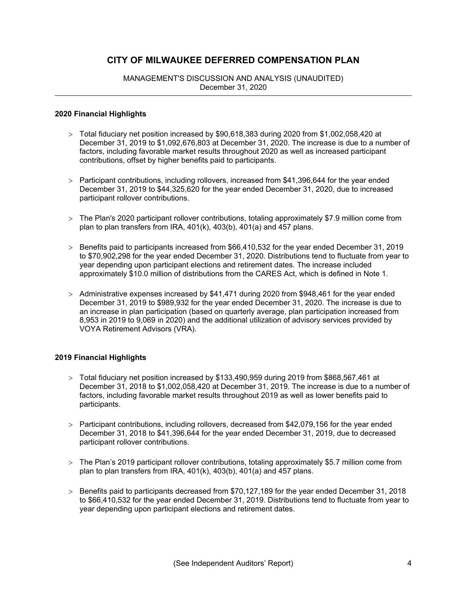MANAGEMENT'S DISCUSSION AND ANALYSIS (UNAUDITED) December 31, 2020

#### **2020 Financial Highlights**

- Total fiduciary net position increased by \$90,618,383 during 2020 from \$1,002,058,420 at December 31, 2019 to \$1,092,676,803 at December 31, 2020. The increase is due to a number of factors, including favorable market results throughout 2020 as well as increased participant contributions, offset by higher benefits paid to participants.
- > Participant contributions, including rollovers, increased from \$41,396,644 for the year ended December 31, 2019 to \$44,325,620 for the year ended December 31, 2020, due to increased participant rollover contributions.
- The Plan's 2020 participant rollover contributions, totaling approximately \$7.9 million come from plan to plan transfers from IRA, 401(k), 403(b), 401(a) and 457 plans.
- $>$  Benefits paid to participants increased from \$66,410,532 for the year ended December 31, 2019 to \$70,902,298 for the year ended December 31, 2020. Distributions tend to fluctuate from year to year depending upon participant elections and retirement dates. The increase included approximately \$10.0 million of distributions from the CARES Act, which is defined in Note 1.
- $>$  Administrative expenses increased by \$41,471 during 2020 from \$948,461 for the year ended December 31, 2019 to \$989,932 for the year ended December 31, 2020. The increase is due to an increase in plan participation (based on quarterly average, plan participation increased from 8,953 in 2019 to 9,069 in 2020) and the additional utilization of advisory services provided by VOYA Retirement Advisors (VRA).

### **2019 Financial Highlights**

- Total fiduciary net position increased by \$133,490,959 during 2019 from \$868,567,461 at December 31, 2018 to \$1,002,058,420 at December 31, 2019. The increase is due to a number of factors, including favorable market results throughout 2019 as well as lower benefits paid to participants.
- > Participant contributions, including rollovers, decreased from \$42,079,156 for the year ended December 31, 2018 to \$41,396,644 for the year ended December 31, 2019, due to decreased participant rollover contributions.
- The Plan's 2019 participant rollover contributions, totaling approximately \$5.7 million come from plan to plan transfers from IRA, 401(k), 403(b), 401(a) and 457 plans.
- Benefits paid to participants decreased from \$70,127,189 for the year ended December 31, 2018 to \$66,410,532 for the year ended December 31, 2019. Distributions tend to fluctuate from year to year depending upon participant elections and retirement dates.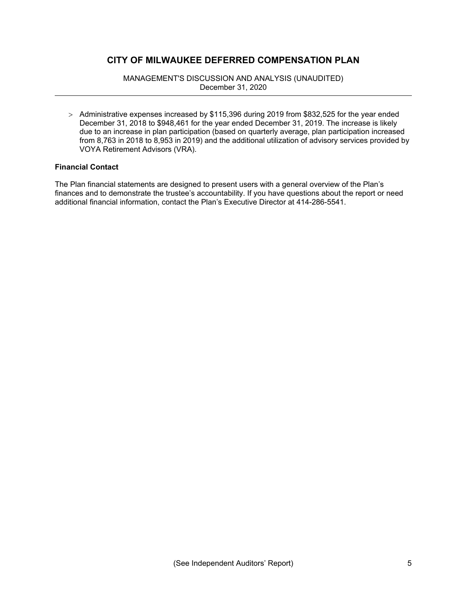MANAGEMENT'S DISCUSSION AND ANALYSIS (UNAUDITED) December 31, 2020

 $>$  Administrative expenses increased by \$115,396 during 2019 from \$832,525 for the year ended December 31, 2018 to \$948,461 for the year ended December 31, 2019. The increase is likely due to an increase in plan participation (based on quarterly average, plan participation increased from 8,763 in 2018 to 8,953 in 2019) and the additional utilization of advisory services provided by VOYA Retirement Advisors (VRA).

# **Financial Contact**

The Plan financial statements are designed to present users with a general overview of the Plan's finances and to demonstrate the trustee's accountability. If you have questions about the report or need additional financial information, contact the Plan's Executive Director at 414-286-5541.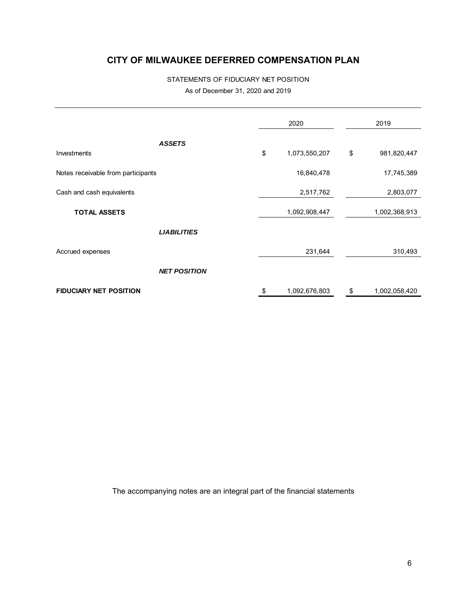# STATEMENTS OF FIDUCIARY NET POSITION As of December 31, 2020 and 2019

|                                    | 2020 |               | 2019                |
|------------------------------------|------|---------------|---------------------|
| <b>ASSETS</b>                      |      |               |                     |
| Investments                        | \$   | 1,073,550,207 | \$<br>981,820,447   |
| Notes receivable from participants |      | 16,840,478    | 17,745,389          |
| Cash and cash equivalents          |      | 2,517,762     | 2,803,077           |
| <b>TOTAL ASSETS</b>                |      | 1,092,908,447 | 1,002,368,913       |
| <b>LIABILITIES</b>                 |      |               |                     |
| Accrued expenses                   |      | 231,644       | 310,493             |
| <b>NET POSITION</b>                |      |               |                     |
| <b>FIDUCIARY NET POSITION</b>      | \$   | 1,092,676,803 | \$<br>1,002,058,420 |

The accompanying notes are an integral part of the financial statements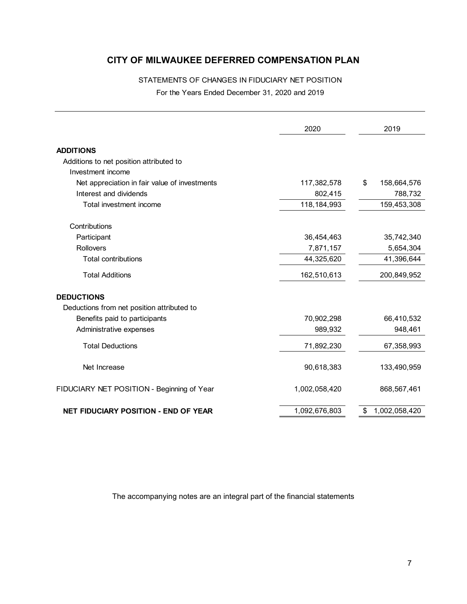# STATEMENTS OF CHANGES IN FIDUCIARY NET POSITION For the Years Ended December 31, 2020 and 2019

|                                               | 2020          | 2019                |
|-----------------------------------------------|---------------|---------------------|
| <b>ADDITIONS</b>                              |               |                     |
| Additions to net position attributed to       |               |                     |
| Investment income                             |               |                     |
| Net appreciation in fair value of investments | 117,382,578   | \$<br>158,664,576   |
| Interest and dividends                        | 802,415       | 788,732             |
| Total investment income                       | 118, 184, 993 | 159,453,308         |
| Contributions                                 |               |                     |
| Participant                                   | 36,454,463    | 35,742,340          |
| <b>Rollovers</b>                              | 7,871,157     | 5,654,304           |
| <b>Total contributions</b>                    | 44,325,620    | 41,396,644          |
| <b>Total Additions</b>                        | 162,510,613   | 200,849,952         |
| <b>DEDUCTIONS</b>                             |               |                     |
| Deductions from net position attributed to    |               |                     |
| Benefits paid to participants                 | 70,902,298    | 66,410,532          |
| Administrative expenses                       | 989,932       | 948,461             |
| <b>Total Deductions</b>                       | 71,892,230    | 67,358,993          |
| Net Increase                                  | 90,618,383    | 133,490,959         |
| FIDUCIARY NET POSITION - Beginning of Year    | 1,002,058,420 | 868,567,461         |
| <b>NET FIDUCIARY POSITION - END OF YEAR</b>   | 1,092,676,803 | 1,002,058,420<br>\$ |
|                                               |               |                     |

The accompanying notes are an integral part of the financial statements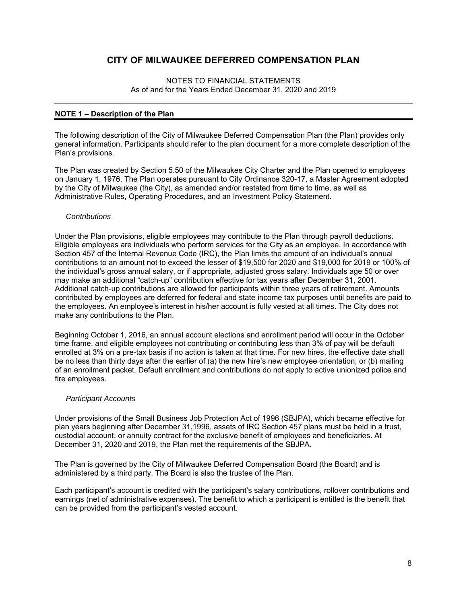#### NOTES TO FINANCIAL STATEMENTS As of and for the Years Ended December 31, 2020 and 2019

### **NOTE 1 – Description of the Plan**

The following description of the City of Milwaukee Deferred Compensation Plan (the Plan) provides only general information. Participants should refer to the plan document for a more complete description of the Plan's provisions.

The Plan was created by Section 5.50 of the Milwaukee City Charter and the Plan opened to employees on January 1, 1976. The Plan operates pursuant to City Ordinance 320-17, a Master Agreement adopted by the City of Milwaukee (the City), as amended and/or restated from time to time, as well as Administrative Rules, Operating Procedures, and an Investment Policy Statement.

#### *Contributions*

Under the Plan provisions, eligible employees may contribute to the Plan through payroll deductions. Eligible employees are individuals who perform services for the City as an employee. In accordance with Section 457 of the Internal Revenue Code (IRC), the Plan limits the amount of an individual's annual contributions to an amount not to exceed the lesser of \$19,500 for 2020 and \$19,000 for 2019 or 100% of the individual's gross annual salary, or if appropriate, adjusted gross salary. Individuals age 50 or over may make an additional "catch-up" contribution effective for tax years after December 31, 2001. Additional catch-up contributions are allowed for participants within three years of retirement. Amounts contributed by employees are deferred for federal and state income tax purposes until benefits are paid to the employees. An employee's interest in his/her account is fully vested at all times. The City does not make any contributions to the Plan.

Beginning October 1, 2016, an annual account elections and enrollment period will occur in the October time frame, and eligible employees not contributing or contributing less than 3% of pay will be default enrolled at 3% on a pre-tax basis if no action is taken at that time. For new hires, the effective date shall be no less than thirty days after the earlier of (a) the new hire's new employee orientation; or (b) mailing of an enrollment packet. Default enrollment and contributions do not apply to active unionized police and fire employees.

### *Participant Accounts*

Under provisions of the Small Business Job Protection Act of 1996 (SBJPA), which became effective for plan years beginning after December 31,1996, assets of IRC Section 457 plans must be held in a trust, custodial account, or annuity contract for the exclusive benefit of employees and beneficiaries. At December 31, 2020 and 2019, the Plan met the requirements of the SBJPA.

The Plan is governed by the City of Milwaukee Deferred Compensation Board (the Board) and is administered by a third party. The Board is also the trustee of the Plan.

Each participant's account is credited with the participant's salary contributions, rollover contributions and earnings (net of administrative expenses). The benefit to which a participant is entitled is the benefit that can be provided from the participant's vested account.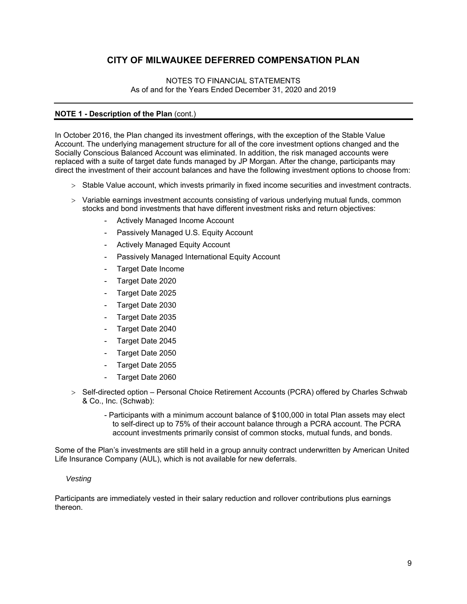### NOTES TO FINANCIAL STATEMENTS As of and for the Years Ended December 31, 2020 and 2019

# **NOTE 1 - Description of the Plan (cont.)**

In October 2016, the Plan changed its investment offerings, with the exception of the Stable Value Account. The underlying management structure for all of the core investment options changed and the Socially Conscious Balanced Account was eliminated. In addition, the risk managed accounts were replaced with a suite of target date funds managed by JP Morgan. After the change, participants may direct the investment of their account balances and have the following investment options to choose from:

- $>$  Stable Value account, which invests primarily in fixed income securities and investment contracts.
- $>$  Variable earnings investment accounts consisting of various underlying mutual funds, common stocks and bond investments that have different investment risks and return objectives:
	- Actively Managed Income Account
	- Passively Managed U.S. Equity Account
	- Actively Managed Equity Account
	- Passively Managed International Equity Account
	- Target Date Income
	- Target Date 2020
	- Target Date 2025
	- Target Date 2030
	- Target Date 2035
	- Target Date 2040
	- Target Date 2045
	- Target Date 2050
	- Target Date 2055
	- Target Date 2060
- > Self-directed option Personal Choice Retirement Accounts (PCRA) offered by Charles Schwab & Co., Inc. (Schwab):
	- Participants with a minimum account balance of \$100,000 in total Plan assets may elect to self-direct up to 75% of their account balance through a PCRA account. The PCRA account investments primarily consist of common stocks, mutual funds, and bonds.

Some of the Plan's investments are still held in a group annuity contract underwritten by American United Life Insurance Company (AUL), which is not available for new deferrals.

### *Vesting*

Participants are immediately vested in their salary reduction and rollover contributions plus earnings thereon.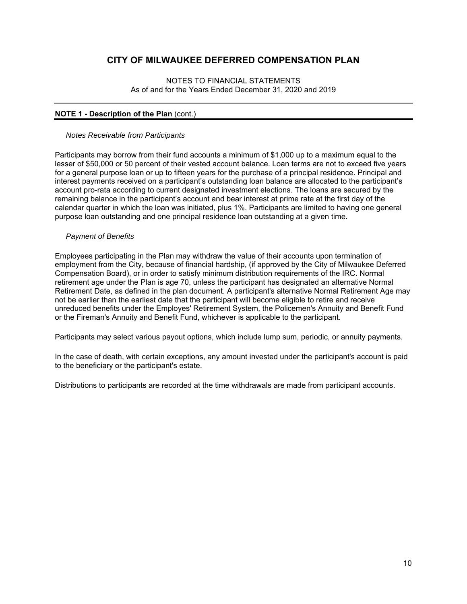### NOTES TO FINANCIAL STATEMENTS As of and for the Years Ended December 31, 2020 and 2019

# **NOTE 1 - Description of the Plan (cont.)**

### *Notes Receivable from Participants*

Participants may borrow from their fund accounts a minimum of \$1,000 up to a maximum equal to the lesser of \$50,000 or 50 percent of their vested account balance. Loan terms are not to exceed five years for a general purpose loan or up to fifteen years for the purchase of a principal residence. Principal and interest payments received on a participant's outstanding loan balance are allocated to the participant's account pro-rata according to current designated investment elections. The loans are secured by the remaining balance in the participant's account and bear interest at prime rate at the first day of the calendar quarter in which the loan was initiated, plus 1%. Participants are limited to having one general purpose loan outstanding and one principal residence loan outstanding at a given time.

### *Payment of Benefits*

Employees participating in the Plan may withdraw the value of their accounts upon termination of employment from the City, because of financial hardship, (if approved by the City of Milwaukee Deferred Compensation Board), or in order to satisfy minimum distribution requirements of the IRC. Normal retirement age under the Plan is age 70, unless the participant has designated an alternative Normal Retirement Date, as defined in the plan document. A participant's alternative Normal Retirement Age may not be earlier than the earliest date that the participant will become eligible to retire and receive unreduced benefits under the Employes' Retirement System, the Policemen's Annuity and Benefit Fund or the Fireman's Annuity and Benefit Fund, whichever is applicable to the participant.

Participants may select various payout options, which include lump sum, periodic, or annuity payments.

In the case of death, with certain exceptions, any amount invested under the participant's account is paid to the beneficiary or the participant's estate.

Distributions to participants are recorded at the time withdrawals are made from participant accounts.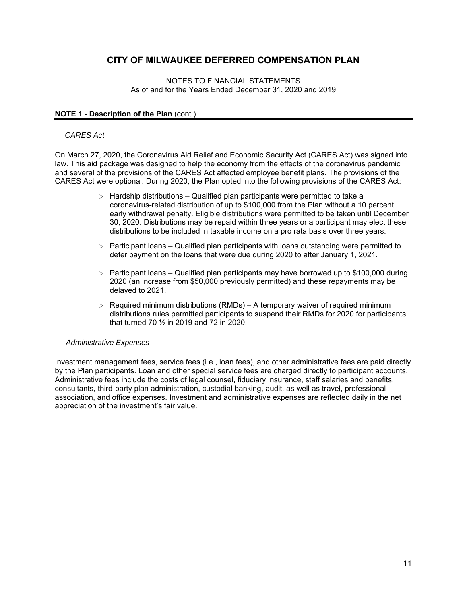#### NOTES TO FINANCIAL STATEMENTS As of and for the Years Ended December 31, 2020 and 2019

# **NOTE 1 - Description of the Plan** (cont.)

#### *CARES Act*

On March 27, 2020, the Coronavirus Aid Relief and Economic Security Act (CARES Act) was signed into law. This aid package was designed to help the economy from the effects of the coronavirus pandemic and several of the provisions of the CARES Act affected employee benefit plans. The provisions of the CARES Act were optional. During 2020, the Plan opted into the following provisions of the CARES Act:

- $>$  Hardship distributions Qualified plan participants were permitted to take a coronavirus-related distribution of up to \$100,000 from the Plan without a 10 percent early withdrawal penalty. Eligible distributions were permitted to be taken until December 30, 2020. Distributions may be repaid within three years or a participant may elect these distributions to be included in taxable income on a pro rata basis over three years.
- $>$  Participant loans Qualified plan participants with loans outstanding were permitted to defer payment on the loans that were due during 2020 to after January 1, 2021.
- $>$  Participant loans Qualified plan participants may have borrowed up to \$100,000 during 2020 (an increase from \$50,000 previously permitted) and these repayments may be delayed to 2021.
- $>$  Required minimum distributions (RMDs) A temporary waiver of required minimum distributions rules permitted participants to suspend their RMDs for 2020 for participants that turned 70 ½ in 2019 and 72 in 2020.

### *Administrative Expenses*

Investment management fees, service fees (i.e., loan fees), and other administrative fees are paid directly by the Plan participants. Loan and other special service fees are charged directly to participant accounts. Administrative fees include the costs of legal counsel, fiduciary insurance, staff salaries and benefits, consultants, third-party plan administration, custodial banking, audit, as well as travel, professional association, and office expenses. Investment and administrative expenses are reflected daily in the net appreciation of the investment's fair value.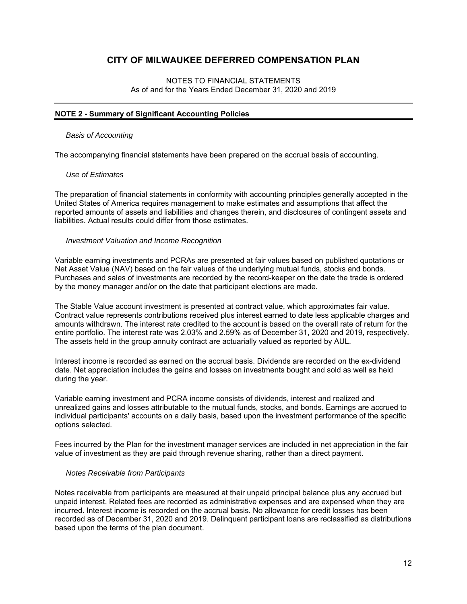### NOTES TO FINANCIAL STATEMENTS As of and for the Years Ended December 31, 2020 and 2019

# **NOTE 2 - Summary of Significant Accounting Policies**

#### *Basis of Accounting*

The accompanying financial statements have been prepared on the accrual basis of accounting.

#### *Use of Estimates*

The preparation of financial statements in conformity with accounting principles generally accepted in the United States of America requires management to make estimates and assumptions that affect the reported amounts of assets and liabilities and changes therein, and disclosures of contingent assets and liabilities. Actual results could differ from those estimates.

#### *Investment Valuation and Income Recognition*

Variable earning investments and PCRAs are presented at fair values based on published quotations or Net Asset Value (NAV) based on the fair values of the underlying mutual funds, stocks and bonds. Purchases and sales of investments are recorded by the record-keeper on the date the trade is ordered by the money manager and/or on the date that participant elections are made.

The Stable Value account investment is presented at contract value, which approximates fair value. Contract value represents contributions received plus interest earned to date less applicable charges and amounts withdrawn. The interest rate credited to the account is based on the overall rate of return for the entire portfolio. The interest rate was 2.03% and 2.59% as of December 31, 2020 and 2019, respectively. The assets held in the group annuity contract are actuarially valued as reported by AUL.

Interest income is recorded as earned on the accrual basis. Dividends are recorded on the ex-dividend date. Net appreciation includes the gains and losses on investments bought and sold as well as held during the year.

Variable earning investment and PCRA income consists of dividends, interest and realized and unrealized gains and losses attributable to the mutual funds, stocks, and bonds. Earnings are accrued to individual participants' accounts on a daily basis, based upon the investment performance of the specific options selected.

Fees incurred by the Plan for the investment manager services are included in net appreciation in the fair value of investment as they are paid through revenue sharing, rather than a direct payment.

#### *Notes Receivable from Participants*

Notes receivable from participants are measured at their unpaid principal balance plus any accrued but unpaid interest. Related fees are recorded as administrative expenses and are expensed when they are incurred. Interest income is recorded on the accrual basis. No allowance for credit losses has been recorded as of December 31, 2020 and 2019. Delinquent participant loans are reclassified as distributions based upon the terms of the plan document.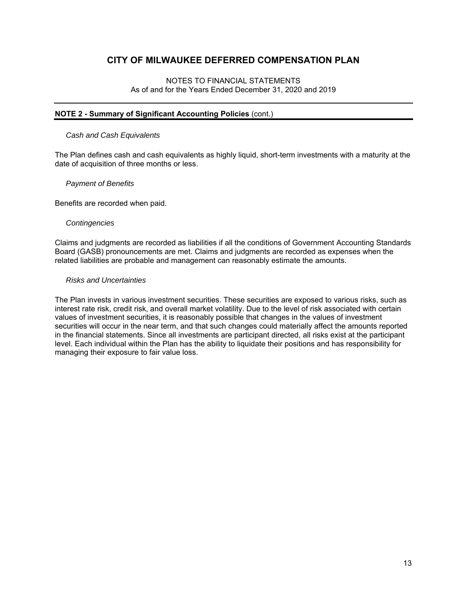### NOTES TO FINANCIAL STATEMENTS As of and for the Years Ended December 31, 2020 and 2019

### **NOTE 2 - Summary of Significant Accounting Policies** (cont.)

#### *Cash and Cash Equivalents*

The Plan defines cash and cash equivalents as highly liquid, short-term investments with a maturity at the date of acquisition of three months or less.

#### *Payment of Benefits*

Benefits are recorded when paid.

#### *Contingencies*

Claims and judgments are recorded as liabilities if all the conditions of Government Accounting Standards Board (GASB) pronouncements are met. Claims and judgments are recorded as expenses when the related liabilities are probable and management can reasonably estimate the amounts.

#### *Risks and Uncertainties*

The Plan invests in various investment securities. These securities are exposed to various risks, such as interest rate risk, credit risk, and overall market volatility. Due to the level of risk associated with certain values of investment securities, it is reasonably possible that changes in the values of investment securities will occur in the near term, and that such changes could materially affect the amounts reported in the financial statements. Since all investments are participant directed, all risks exist at the participant level. Each individual within the Plan has the ability to liquidate their positions and has responsibility for managing their exposure to fair value loss.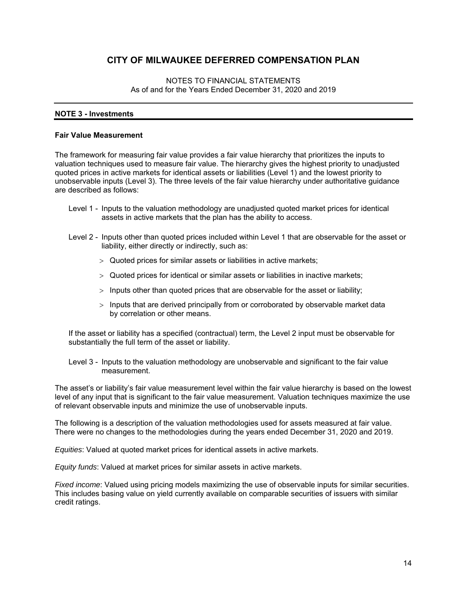### NOTES TO FINANCIAL STATEMENTS As of and for the Years Ended December 31, 2020 and 2019

# **NOTE 3 - Investments**

#### **Fair Value Measurement**

The framework for measuring fair value provides a fair value hierarchy that prioritizes the inputs to valuation techniques used to measure fair value. The hierarchy gives the highest priority to unadjusted quoted prices in active markets for identical assets or liabilities (Level 1) and the lowest priority to unobservable inputs (Level 3). The three levels of the fair value hierarchy under authoritative guidance are described as follows:

- Level 1 Inputs to the valuation methodology are unadjusted quoted market prices for identical assets in active markets that the plan has the ability to access.
- Level 2 Inputs other than quoted prices included within Level 1 that are observable for the asset or liability, either directly or indirectly, such as:
	- Quoted prices for similar assets or liabilities in active markets;
	- Quoted prices for identical or similar assets or liabilities in inactive markets;
	- $>$  Inputs other than quoted prices that are observable for the asset or liability;
	- $>$  Inputs that are derived principally from or corroborated by observable market data by correlation or other means.

If the asset or liability has a specified (contractual) term, the Level 2 input must be observable for substantially the full term of the asset or liability.

Level 3 - Inputs to the valuation methodology are unobservable and significant to the fair value measurement.

The asset's or liability's fair value measurement level within the fair value hierarchy is based on the lowest level of any input that is significant to the fair value measurement. Valuation techniques maximize the use of relevant observable inputs and minimize the use of unobservable inputs.

The following is a description of the valuation methodologies used for assets measured at fair value. There were no changes to the methodologies during the years ended December 31, 2020 and 2019.

*Equities*: Valued at quoted market prices for identical assets in active markets.

*Equity funds*: Valued at market prices for similar assets in active markets.

*Fixed income*: Valued using pricing models maximizing the use of observable inputs for similar securities. This includes basing value on yield currently available on comparable securities of issuers with similar credit ratings.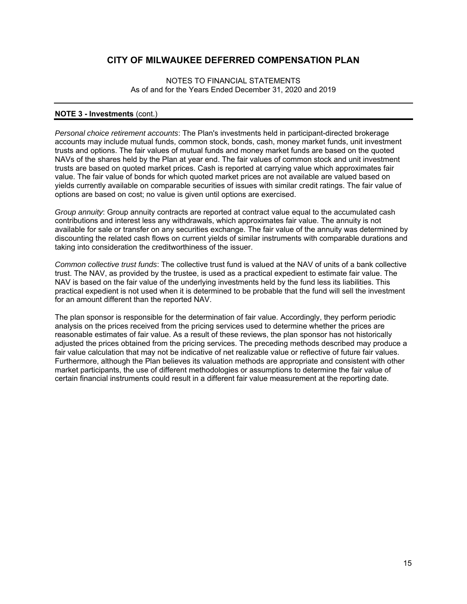NOTES TO FINANCIAL STATEMENTS As of and for the Years Ended December 31, 2020 and 2019

#### **NOTE 3 - Investments** (cont.)

*Personal choice retirement accounts*: The Plan's investments held in participant-directed brokerage accounts may include mutual funds, common stock, bonds, cash, money market funds, unit investment trusts and options. The fair values of mutual funds and money market funds are based on the quoted NAVs of the shares held by the Plan at year end. The fair values of common stock and unit investment trusts are based on quoted market prices. Cash is reported at carrying value which approximates fair value. The fair value of bonds for which quoted market prices are not available are valued based on yields currently available on comparable securities of issues with similar credit ratings. The fair value of options are based on cost; no value is given until options are exercised.

*Group annuity*: Group annuity contracts are reported at contract value equal to the accumulated cash contributions and interest less any withdrawals, which approximates fair value. The annuity is not available for sale or transfer on any securities exchange. The fair value of the annuity was determined by discounting the related cash flows on current yields of similar instruments with comparable durations and taking into consideration the creditworthiness of the issuer.

*Common collective trust funds*: The collective trust fund is valued at the NAV of units of a bank collective trust. The NAV, as provided by the trustee, is used as a practical expedient to estimate fair value. The NAV is based on the fair value of the underlying investments held by the fund less its liabilities. This practical expedient is not used when it is determined to be probable that the fund will sell the investment for an amount different than the reported NAV.

The plan sponsor is responsible for the determination of fair value. Accordingly, they perform periodic analysis on the prices received from the pricing services used to determine whether the prices are reasonable estimates of fair value. As a result of these reviews, the plan sponsor has not historically adjusted the prices obtained from the pricing services. The preceding methods described may produce a fair value calculation that may not be indicative of net realizable value or reflective of future fair values. Furthermore, although the Plan believes its valuation methods are appropriate and consistent with other market participants, the use of different methodologies or assumptions to determine the fair value of certain financial instruments could result in a different fair value measurement at the reporting date.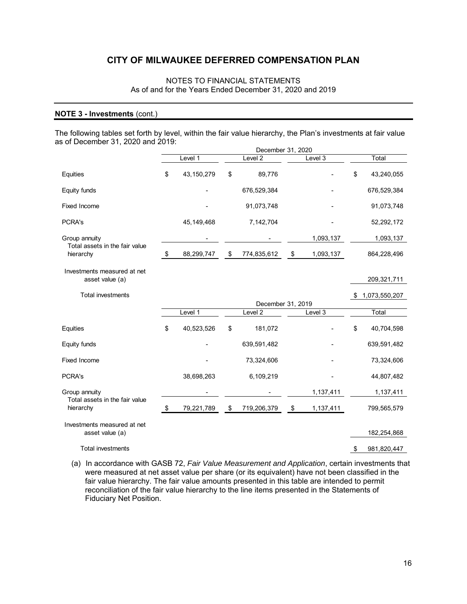# NOTES TO FINANCIAL STATEMENTS As of and for the Years Ended December 31, 2020 and 2019

### **NOTE 3 - Investments** (cont.)

The following tables set forth by level, within the fair value hierarchy, the Plan's investments at fair value as of December 31, 2020 and 2019:

|                                                 | December 31, 2020 |              |                           |                    |            |           |                     |
|-------------------------------------------------|-------------------|--------------|---------------------------|--------------------|------------|-----------|---------------------|
|                                                 |                   | Level 1      |                           | Level <sub>2</sub> |            | Level 3   | Total               |
| Equities                                        | \$                | 43, 150, 279 | \$                        | 89,776             |            |           | \$<br>43,240,055    |
| Equity funds                                    |                   |              |                           | 676,529,384        |            |           | 676,529,384         |
| <b>Fixed Income</b>                             |                   |              |                           | 91,073,748         |            |           | 91,073,748          |
| PCRA's                                          |                   | 45, 149, 468 |                           | 7,142,704          |            |           | 52,292,172          |
| Group annuity                                   |                   |              |                           |                    |            | 1,093,137 | 1,093,137           |
| Total assets in the fair value<br>hierarchy     | $\sqrt{3}$        | 88,299,747   | $\sqrt[6]{3}$             | 774,835,612        | $\sqrt{3}$ | 1,093,137 | 864,228,496         |
| Investments measured at net<br>asset value (a)  |                   |              |                           |                    |            |           | 209,321,711         |
| <b>Total investments</b>                        |                   |              |                           |                    |            |           | \$<br>1,073,550,207 |
|                                                 |                   |              |                           | December 31, 2019  |            |           |                     |
|                                                 |                   | Level 1      |                           | Level 2            |            | Level 3   | Total               |
| Equities                                        | \$                | 40,523,526   | \$                        | 181,072            |            |           | \$<br>40,704,598    |
| Equity funds                                    |                   |              |                           | 639,591,482        |            |           | 639,591,482         |
| Fixed Income                                    |                   |              |                           | 73,324,606         |            |           | 73,324,606          |
| PCRA's                                          |                   | 38,698,263   |                           | 6,109,219          |            |           | 44,807,482          |
| Group annuity<br>Total assets in the fair value |                   |              |                           |                    |            | 1,137,411 | 1,137,411           |
| hierarchy                                       | \$                | 79,221,789   | $\boldsymbol{\mathsf{S}}$ | 719,206,379        | \$         | 1,137,411 | 799,565,579         |
| Investments measured at net<br>asset value (a)  |                   |              |                           |                    |            |           | 182,254,868         |
|                                                 |                   |              |                           |                    |            |           |                     |
| <b>Total investments</b>                        |                   |              |                           |                    |            |           | \$<br>981,820,447   |

(a) In accordance with GASB 72, *Fair Value Measurement and Application*, certain investments that were measured at net asset value per share (or its equivalent) have not been classified in the fair value hierarchy. The fair value amounts presented in this table are intended to permit reconciliation of the fair value hierarchy to the line items presented in the Statements of Fiduciary Net Position.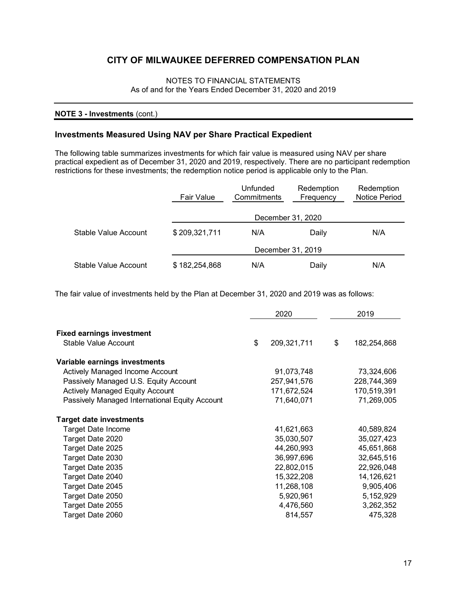# NOTES TO FINANCIAL STATEMENTS As of and for the Years Ended December 31, 2020 and 2019

# **NOTE 3 - Investments** (cont.)

# **Investments Measured Using NAV per Share Practical Expedient**

The following table summarizes investments for which fair value is measured using NAV per share practical expedient as of December 31, 2020 and 2019, respectively. There are no participant redemption restrictions for these investments; the redemption notice period is applicable only to the Plan.

|                      | Fair Value    | Unfunded<br>Commitments | Redemption<br>Frequency | Redemption<br><b>Notice Period</b> |
|----------------------|---------------|-------------------------|-------------------------|------------------------------------|
|                      |               | December 31, 2020       |                         |                                    |
| Stable Value Account | \$209,321,711 | N/A                     | Daily                   | N/A                                |
|                      |               | December 31, 2019       |                         |                                    |
| Stable Value Account | \$182,254,868 | N/A                     | Daily                   | N/A                                |

The fair value of investments held by the Plan at December 31, 2020 and 2019 was as follows:

|                                                | 2020              | 2019              |
|------------------------------------------------|-------------------|-------------------|
|                                                |                   |                   |
| <b>Fixed earnings investment</b>               |                   |                   |
| Stable Value Account                           | \$<br>209,321,711 | \$<br>182,254,868 |
| Variable earnings investments                  |                   |                   |
| Actively Managed Income Account                | 91,073,748        | 73,324,606        |
| Passively Managed U.S. Equity Account          | 257,941,576       | 228,744,369       |
| <b>Actively Managed Equity Account</b>         | 171,672,524       | 170,519,391       |
| Passively Managed International Equity Account | 71,640,071        | 71,269,005        |
| <b>Target date investments</b>                 |                   |                   |
| Target Date Income                             | 41,621,663        | 40,589,824        |
| Target Date 2020                               | 35,030,507        | 35,027,423        |
| Target Date 2025                               | 44,260,993        | 45,651,868        |
| Target Date 2030                               | 36,997,696        | 32,645,516        |
| Target Date 2035                               | 22,802,015        | 22,926,048        |
| Target Date 2040                               | 15,322,208        | 14,126,621        |
| Target Date 2045                               | 11,268,108        | 9,905,406         |
| Target Date 2050                               | 5,920,961         | 5,152,929         |
| Target Date 2055                               | 4,476,560         | 3,262,352         |
| Target Date 2060                               | 814,557           | 475,328           |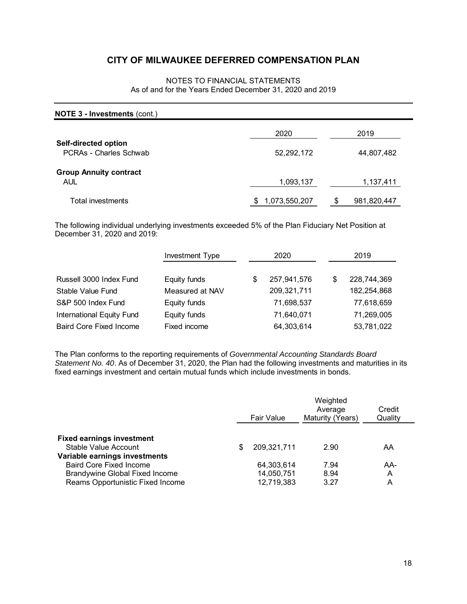# NOTES TO FINANCIAL STATEMENTS As of and for the Years Ended December 31, 2020 and 2019

| <b>NOTE 3 - Investments (cont.)</b>            |                    |             |
|------------------------------------------------|--------------------|-------------|
|                                                | 2020               | 2019        |
| Self-directed option<br>PCRAs - Charles Schwab | 52,292,172         | 44,807,482  |
| <b>Group Annuity contract</b><br><b>AUL</b>    | 1,093,137          | 1,137,411   |
| Total investments                              | 1,073,550,207<br>S | 981,820,447 |

The following individual underlying investments exceeded 5% of the Plan Fiduciary Net Position at December 31, 2020 and 2019:

|                                  | <b>Investment Type</b> | 2020 |             |   | 2019        |
|----------------------------------|------------------------|------|-------------|---|-------------|
|                                  |                        |      |             |   |             |
| Russell 3000 Index Fund          | Equity funds           | \$   | 257,941,576 | S | 228,744,369 |
| Stable Value Fund                | Measured at NAV        |      | 209,321,711 |   | 182,254,868 |
| S&P 500 Index Fund               | Equity funds           |      | 71,698,537  |   | 77,618,659  |
| <b>International Equity Fund</b> | Equity funds           |      | 71,640,071  |   | 71,269,005  |
| <b>Baird Core Fixed Income</b>   | Fixed income           |      | 64,303,614  |   | 53,781,022  |

The Plan conforms to the reporting requirements of *Governmental Accounting Standards Board Statement No. 40*. As of December 31, 2020, the Plan had the following investments and maturities in its fixed earnings investment and certain mutual funds which include investments in bonds.

|                                                                           | Fair Value |                          | Weighted<br>Average<br>Maturity (Years) | Credit<br>Quality |
|---------------------------------------------------------------------------|------------|--------------------------|-----------------------------------------|-------------------|
| <b>Fixed earnings investment</b><br>Stable Value Account                  | S          | 209,321,711              | 2.90                                    | AA                |
| Variable earnings investments<br><b>Baird Core Fixed Income</b>           |            | 64,303,614               | 7.94                                    | AA-               |
| <b>Brandywine Global Fixed Income</b><br>Reams Opportunistic Fixed Income |            | 14,050,751<br>12,719,383 | 8.94<br>3.27                            | A<br>A            |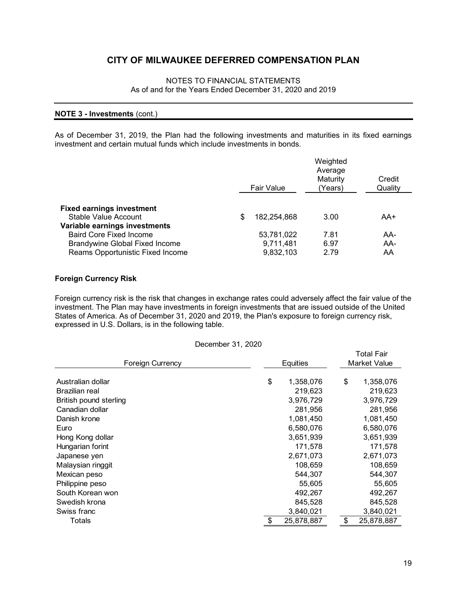# NOTES TO FINANCIAL STATEMENTS As of and for the Years Ended December 31, 2020 and 2019

### **NOTE 3 - Investments** (cont.)

As of December 31, 2019, the Plan had the following investments and maturities in its fixed earnings investment and certain mutual funds which include investments in bonds.

|                                                                                                             |   | Fair Value                           | Weighted<br>Average<br>Maturity<br>(Years) | Credit<br>Quality |
|-------------------------------------------------------------------------------------------------------------|---|--------------------------------------|--------------------------------------------|-------------------|
| <b>Fixed earnings investment</b><br>Stable Value Account<br>Variable earnings investments                   | S | 182.254.868                          | 3.00                                       | AA+               |
| <b>Baird Core Fixed Income</b><br><b>Brandywine Global Fixed Income</b><br>Reams Opportunistic Fixed Income |   | 53,781,022<br>9,711,481<br>9,832,103 | 7.81<br>6.97<br>2.79                       | AA-<br>AA-<br>AA  |

# **Foreign Currency Risk**

Foreign currency risk is the risk that changes in exchange rates could adversely affect the fair value of the investment. The Plan may have investments in foreign investments that are issued outside of the United States of America. As of December 31, 2020 and 2019, the Plan's exposure to foreign currency risk, expressed in U.S. Dollars, is in the following table.

December 31, 2020

| <b>Foreign Currency</b> | Equities  |            |  | <b>Total Fair</b><br><b>Market Value</b> |            |  |
|-------------------------|-----------|------------|--|------------------------------------------|------------|--|
|                         |           |            |  |                                          |            |  |
| Australian dollar       | \$        | 1,358,076  |  | \$                                       | 1,358,076  |  |
| Brazilian real          |           | 219,623    |  |                                          | 219,623    |  |
| British pound sterling  |           | 3,976,729  |  |                                          | 3,976,729  |  |
| Canadian dollar         |           | 281,956    |  |                                          | 281,956    |  |
| Danish krone            | 1,081,450 |            |  |                                          | 1,081,450  |  |
| Euro                    |           | 6,580,076  |  |                                          | 6,580,076  |  |
| Hong Kong dollar        |           | 3,651,939  |  |                                          | 3,651,939  |  |
| Hungarian forint        |           | 171,578    |  |                                          | 171,578    |  |
| Japanese yen            |           | 2,671,073  |  |                                          | 2,671,073  |  |
| Malaysian ringgit       |           | 108,659    |  |                                          | 108,659    |  |
| Mexican peso            |           | 544,307    |  |                                          | 544,307    |  |
| Philippine peso         |           | 55,605     |  |                                          | 55,605     |  |
| South Korean won        |           | 492,267    |  |                                          | 492,267    |  |
| Swedish krona           |           | 845,528    |  |                                          | 845,528    |  |
| Swiss franc             |           | 3,840,021  |  |                                          | 3,840,021  |  |
| Totals                  | \$        | 25.878.887 |  | \$                                       | 25.878.887 |  |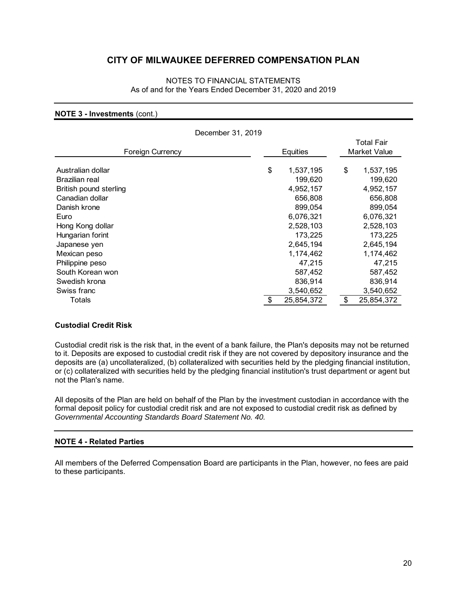# NOTES TO FINANCIAL STATEMENTS As of and for the Years Ended December 31, 2020 and 2019

#### **NOTE 3 - Investments** (cont.)

| December 31, 2019      |          |            |    |                                   |  |
|------------------------|----------|------------|----|-----------------------------------|--|
| Foreign Currency       | Equities |            |    | <b>Total Fair</b><br>Market Value |  |
| Australian dollar      | \$       | 1,537,195  | \$ | 1,537,195                         |  |
| Brazilian real         |          | 199,620    |    | 199,620                           |  |
| British pound sterling |          | 4,952,157  |    | 4,952,157                         |  |
| Canadian dollar        |          | 656,808    |    | 656,808                           |  |
| Danish krone           |          | 899,054    |    | 899,054                           |  |
| Euro                   |          | 6,076,321  |    | 6,076,321                         |  |
| Hong Kong dollar       |          | 2,528,103  |    | 2,528,103                         |  |
| Hungarian forint       |          | 173,225    |    | 173,225                           |  |
| Japanese yen           |          | 2,645,194  |    | 2,645,194                         |  |
| Mexican peso           |          | 1,174,462  |    | 1,174,462                         |  |
| Philippine peso        |          | 47,215     |    | 47,215                            |  |
| South Korean won       |          | 587,452    |    | 587,452                           |  |
| Swedish krona          |          | 836,914    |    | 836,914                           |  |
| Swiss franc            |          | 3,540,652  |    | 3,540,652                         |  |
| Totals                 |          | 25,854,372 | \$ | 25,854,372                        |  |

# **Custodial Credit Risk**

Custodial credit risk is the risk that, in the event of a bank failure, the Plan's deposits may not be returned to it. Deposits are exposed to custodial credit risk if they are not covered by depository insurance and the deposits are (a) uncollateralized, (b) collateralized with securities held by the pledging financial institution, or (c) collateralized with securities held by the pledging financial institution's trust department or agent but not the Plan's name.

All deposits of the Plan are held on behalf of the Plan by the investment custodian in accordance with the formal deposit policy for custodial credit risk and are not exposed to custodial credit risk as defined by *Governmental Accounting Standards Board Statement No. 40.*

# **NOTE 4 - Related Parties**

All members of the Deferred Compensation Board are participants in the Plan, however, no fees are paid to these participants.